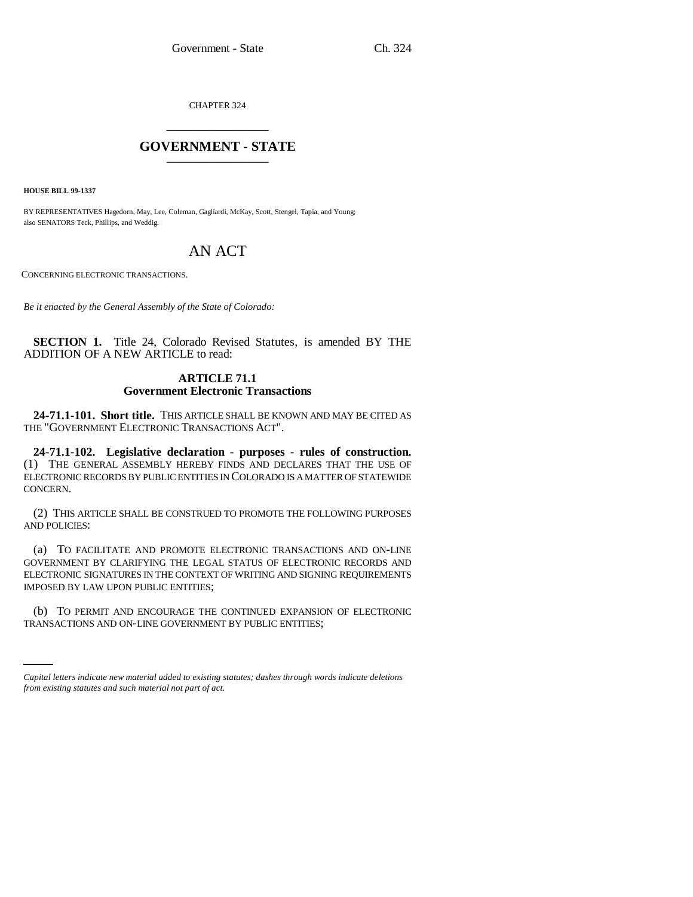CHAPTER 324 \_\_\_\_\_\_\_\_\_\_\_\_\_\_\_

## **GOVERNMENT - STATE** \_\_\_\_\_\_\_\_\_\_\_\_\_\_\_

**HOUSE BILL 99-1337** 

BY REPRESENTATIVES Hagedorn, May, Lee, Coleman, Gagliardi, McKay, Scott, Stengel, Tapia, and Young; also SENATORS Teck, Phillips, and Weddig.

# AN ACT

CONCERNING ELECTRONIC TRANSACTIONS.

*Be it enacted by the General Assembly of the State of Colorado:*

**SECTION 1.** Title 24, Colorado Revised Statutes, is amended BY THE ADDITION OF A NEW ARTICLE to read:

### **ARTICLE 71.1 Government Electronic Transactions**

**24-71.1-101. Short title.** THIS ARTICLE SHALL BE KNOWN AND MAY BE CITED AS THE "GOVERNMENT ELECTRONIC TRANSACTIONS ACT".

**24-71.1-102. Legislative declaration - purposes - rules of construction.** (1) THE GENERAL ASSEMBLY HEREBY FINDS AND DECLARES THAT THE USE OF ELECTRONIC RECORDS BY PUBLIC ENTITIES IN COLORADO IS A MATTER OF STATEWIDE CONCERN.

(2) THIS ARTICLE SHALL BE CONSTRUED TO PROMOTE THE FOLLOWING PURPOSES AND POLICIES:

(a) TO FACILITATE AND PROMOTE ELECTRONIC TRANSACTIONS AND ON-LINE GOVERNMENT BY CLARIFYING THE LEGAL STATUS OF ELECTRONIC RECORDS AND ELECTRONIC SIGNATURES IN THE CONTEXT OF WRITING AND SIGNING REQUIREMENTS IMPOSED BY LAW UPON PUBLIC ENTITIES;

(b) TO PERMIT AND ENCOURAGE THE CONTINUED EXPANSION OF ELECTRONIC TRANSACTIONS AND ON-LINE GOVERNMENT BY PUBLIC ENTITIES;

*Capital letters indicate new material added to existing statutes; dashes through words indicate deletions from existing statutes and such material not part of act.*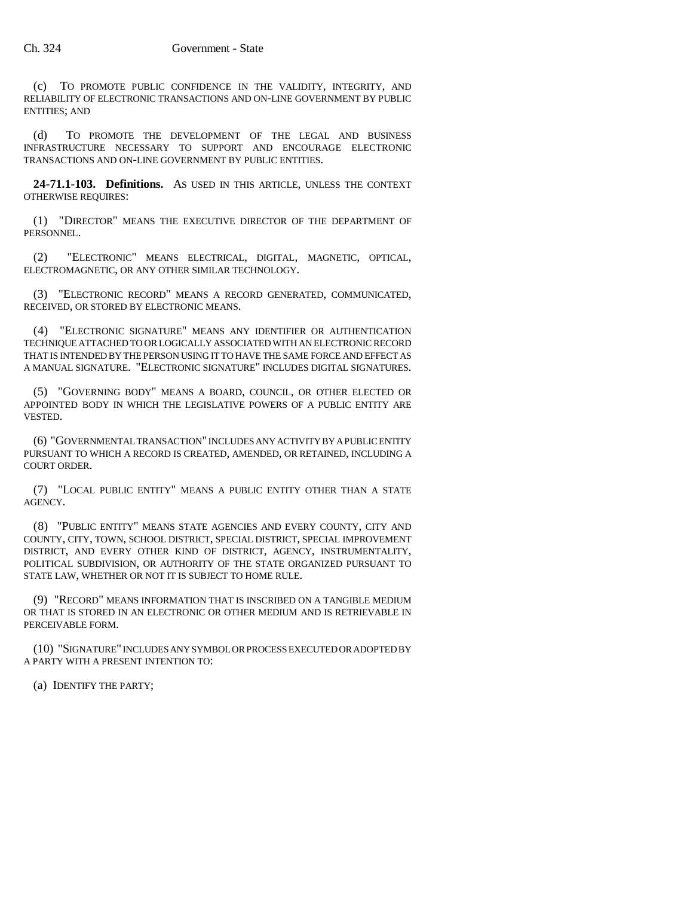(c) TO PROMOTE PUBLIC CONFIDENCE IN THE VALIDITY, INTEGRITY, AND RELIABILITY OF ELECTRONIC TRANSACTIONS AND ON-LINE GOVERNMENT BY PUBLIC ENTITIES; AND

(d) TO PROMOTE THE DEVELOPMENT OF THE LEGAL AND BUSINESS INFRASTRUCTURE NECESSARY TO SUPPORT AND ENCOURAGE ELECTRONIC TRANSACTIONS AND ON-LINE GOVERNMENT BY PUBLIC ENTITIES.

**24-71.1-103. Definitions.** AS USED IN THIS ARTICLE, UNLESS THE CONTEXT OTHERWISE REQUIRES:

(1) "DIRECTOR" MEANS THE EXECUTIVE DIRECTOR OF THE DEPARTMENT OF PERSONNEL.

(2) "ELECTRONIC" MEANS ELECTRICAL, DIGITAL, MAGNETIC, OPTICAL, ELECTROMAGNETIC, OR ANY OTHER SIMILAR TECHNOLOGY.

(3) "ELECTRONIC RECORD" MEANS A RECORD GENERATED, COMMUNICATED, RECEIVED, OR STORED BY ELECTRONIC MEANS.

(4) "ELECTRONIC SIGNATURE" MEANS ANY IDENTIFIER OR AUTHENTICATION TECHNIQUE ATTACHED TO OR LOGICALLY ASSOCIATED WITH AN ELECTRONIC RECORD THAT IS INTENDED BY THE PERSON USING IT TO HAVE THE SAME FORCE AND EFFECT AS A MANUAL SIGNATURE. "ELECTRONIC SIGNATURE" INCLUDES DIGITAL SIGNATURES.

(5) "GOVERNING BODY" MEANS A BOARD, COUNCIL, OR OTHER ELECTED OR APPOINTED BODY IN WHICH THE LEGISLATIVE POWERS OF A PUBLIC ENTITY ARE VESTED.

(6) "GOVERNMENTAL TRANSACTION" INCLUDES ANY ACTIVITY BY A PUBLIC ENTITY PURSUANT TO WHICH A RECORD IS CREATED, AMENDED, OR RETAINED, INCLUDING A COURT ORDER.

(7) "LOCAL PUBLIC ENTITY" MEANS A PUBLIC ENTITY OTHER THAN A STATE AGENCY.

(8) "PUBLIC ENTITY" MEANS STATE AGENCIES AND EVERY COUNTY, CITY AND COUNTY, CITY, TOWN, SCHOOL DISTRICT, SPECIAL DISTRICT, SPECIAL IMPROVEMENT DISTRICT, AND EVERY OTHER KIND OF DISTRICT, AGENCY, INSTRUMENTALITY, POLITICAL SUBDIVISION, OR AUTHORITY OF THE STATE ORGANIZED PURSUANT TO STATE LAW, WHETHER OR NOT IT IS SUBJECT TO HOME RULE.

(9) "RECORD" MEANS INFORMATION THAT IS INSCRIBED ON A TANGIBLE MEDIUM OR THAT IS STORED IN AN ELECTRONIC OR OTHER MEDIUM AND IS RETRIEVABLE IN PERCEIVABLE FORM.

(10) "SIGNATURE" INCLUDES ANY SYMBOL OR PROCESS EXECUTED OR ADOPTED BY A PARTY WITH A PRESENT INTENTION TO:

(a) IDENTIFY THE PARTY;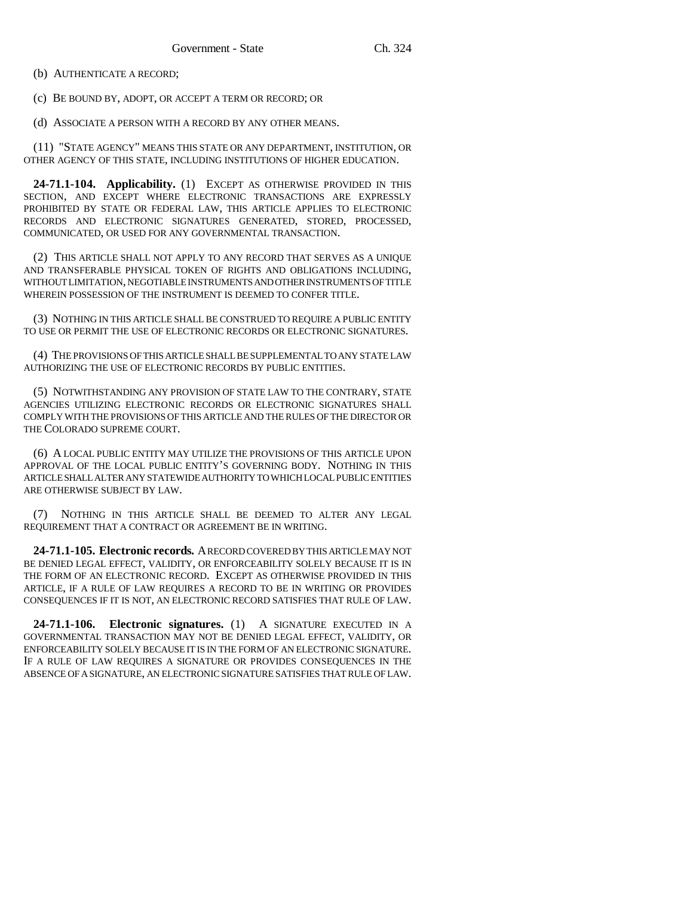(b) AUTHENTICATE A RECORD;

(c) BE BOUND BY, ADOPT, OR ACCEPT A TERM OR RECORD; OR

(d) ASSOCIATE A PERSON WITH A RECORD BY ANY OTHER MEANS.

(11) "STATE AGENCY" MEANS THIS STATE OR ANY DEPARTMENT, INSTITUTION, OR OTHER AGENCY OF THIS STATE, INCLUDING INSTITUTIONS OF HIGHER EDUCATION.

**24-71.1-104. Applicability.** (1) EXCEPT AS OTHERWISE PROVIDED IN THIS SECTION, AND EXCEPT WHERE ELECTRONIC TRANSACTIONS ARE EXPRESSLY PROHIBITED BY STATE OR FEDERAL LAW, THIS ARTICLE APPLIES TO ELECTRONIC RECORDS AND ELECTRONIC SIGNATURES GENERATED, STORED, PROCESSED, COMMUNICATED, OR USED FOR ANY GOVERNMENTAL TRANSACTION.

(2) THIS ARTICLE SHALL NOT APPLY TO ANY RECORD THAT SERVES AS A UNIQUE AND TRANSFERABLE PHYSICAL TOKEN OF RIGHTS AND OBLIGATIONS INCLUDING, WITHOUT LIMITATION, NEGOTIABLE INSTRUMENTS AND OTHER INSTRUMENTS OF TITLE WHEREIN POSSESSION OF THE INSTRUMENT IS DEEMED TO CONFER TITLE.

(3) NOTHING IN THIS ARTICLE SHALL BE CONSTRUED TO REQUIRE A PUBLIC ENTITY TO USE OR PERMIT THE USE OF ELECTRONIC RECORDS OR ELECTRONIC SIGNATURES.

(4) THE PROVISIONS OF THIS ARTICLE SHALL BE SUPPLEMENTAL TO ANY STATE LAW AUTHORIZING THE USE OF ELECTRONIC RECORDS BY PUBLIC ENTITIES.

(5) NOTWITHSTANDING ANY PROVISION OF STATE LAW TO THE CONTRARY, STATE AGENCIES UTILIZING ELECTRONIC RECORDS OR ELECTRONIC SIGNATURES SHALL COMPLY WITH THE PROVISIONS OF THIS ARTICLE AND THE RULES OF THE DIRECTOR OR THE COLORADO SUPREME COURT.

(6) A LOCAL PUBLIC ENTITY MAY UTILIZE THE PROVISIONS OF THIS ARTICLE UPON APPROVAL OF THE LOCAL PUBLIC ENTITY'S GOVERNING BODY. NOTHING IN THIS ARTICLE SHALL ALTER ANY STATEWIDE AUTHORITY TO WHICH LOCAL PUBLIC ENTITIES ARE OTHERWISE SUBJECT BY LAW.

(7) NOTHING IN THIS ARTICLE SHALL BE DEEMED TO ALTER ANY LEGAL REQUIREMENT THAT A CONTRACT OR AGREEMENT BE IN WRITING.

**24-71.1-105. Electronic records.** A RECORD COVERED BY THIS ARTICLE MAY NOT BE DENIED LEGAL EFFECT, VALIDITY, OR ENFORCEABILITY SOLELY BECAUSE IT IS IN THE FORM OF AN ELECTRONIC RECORD. EXCEPT AS OTHERWISE PROVIDED IN THIS ARTICLE, IF A RULE OF LAW REQUIRES A RECORD TO BE IN WRITING OR PROVIDES CONSEQUENCES IF IT IS NOT, AN ELECTRONIC RECORD SATISFIES THAT RULE OF LAW.

**24-71.1-106. Electronic signatures.** (1) A SIGNATURE EXECUTED IN A GOVERNMENTAL TRANSACTION MAY NOT BE DENIED LEGAL EFFECT, VALIDITY, OR ENFORCEABILITY SOLELY BECAUSE IT IS IN THE FORM OF AN ELECTRONIC SIGNATURE. IF A RULE OF LAW REQUIRES A SIGNATURE OR PROVIDES CONSEQUENCES IN THE ABSENCE OF A SIGNATURE, AN ELECTRONIC SIGNATURE SATISFIES THAT RULE OF LAW.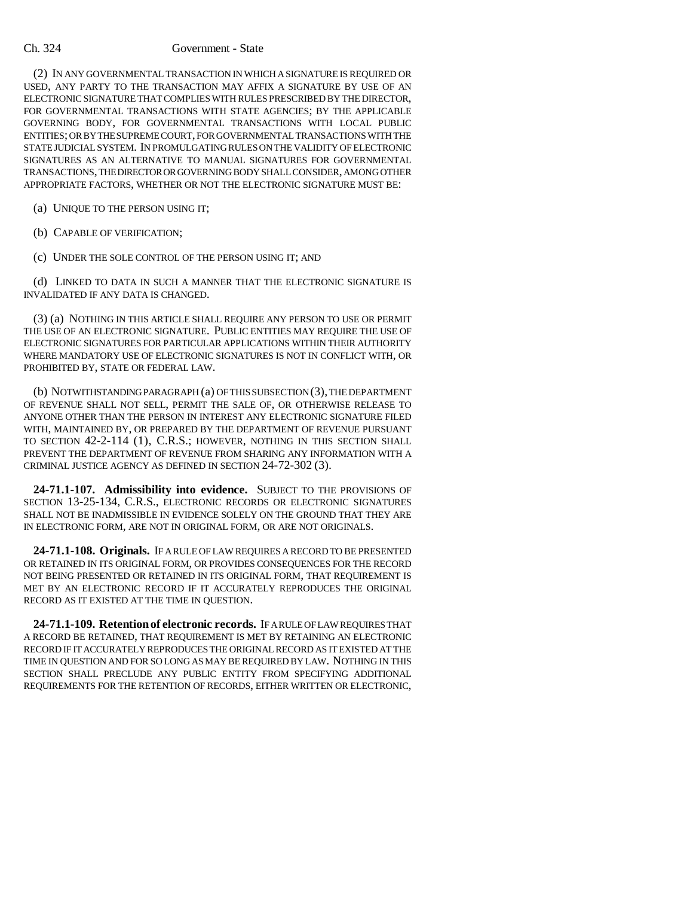#### Ch. 324 Government - State

(2) IN ANY GOVERNMENTAL TRANSACTION IN WHICH A SIGNATURE IS REQUIRED OR USED, ANY PARTY TO THE TRANSACTION MAY AFFIX A SIGNATURE BY USE OF AN ELECTRONIC SIGNATURE THAT COMPLIES WITH RULES PRESCRIBED BY THE DIRECTOR, FOR GOVERNMENTAL TRANSACTIONS WITH STATE AGENCIES; BY THE APPLICABLE GOVERNING BODY, FOR GOVERNMENTAL TRANSACTIONS WITH LOCAL PUBLIC ENTITIES; OR BY THE SUPREME COURT, FOR GOVERNMENTAL TRANSACTIONS WITH THE STATE JUDICIAL SYSTEM. IN PROMULGATING RULES ON THE VALIDITY OF ELECTRONIC SIGNATURES AS AN ALTERNATIVE TO MANUAL SIGNATURES FOR GOVERNMENTAL TRANSACTIONS, THE DIRECTOR OR GOVERNING BODY SHALL CONSIDER, AMONG OTHER APPROPRIATE FACTORS, WHETHER OR NOT THE ELECTRONIC SIGNATURE MUST BE:

(a) UNIQUE TO THE PERSON USING IT;

(b) CAPABLE OF VERIFICATION;

(c) UNDER THE SOLE CONTROL OF THE PERSON USING IT; AND

(d) LINKED TO DATA IN SUCH A MANNER THAT THE ELECTRONIC SIGNATURE IS INVALIDATED IF ANY DATA IS CHANGED.

(3) (a) NOTHING IN THIS ARTICLE SHALL REQUIRE ANY PERSON TO USE OR PERMIT THE USE OF AN ELECTRONIC SIGNATURE. PUBLIC ENTITIES MAY REQUIRE THE USE OF ELECTRONIC SIGNATURES FOR PARTICULAR APPLICATIONS WITHIN THEIR AUTHORITY WHERE MANDATORY USE OF ELECTRONIC SIGNATURES IS NOT IN CONFLICT WITH, OR PROHIBITED BY, STATE OR FEDERAL LAW.

(b) NOTWITHSTANDING PARAGRAPH (a) OF THIS SUBSECTION (3), THE DEPARTMENT OF REVENUE SHALL NOT SELL, PERMIT THE SALE OF, OR OTHERWISE RELEASE TO ANYONE OTHER THAN THE PERSON IN INTEREST ANY ELECTRONIC SIGNATURE FILED WITH, MAINTAINED BY, OR PREPARED BY THE DEPARTMENT OF REVENUE PURSUANT TO SECTION 42-2-114 (1), C.R.S.; HOWEVER, NOTHING IN THIS SECTION SHALL PREVENT THE DEPARTMENT OF REVENUE FROM SHARING ANY INFORMATION WITH A CRIMINAL JUSTICE AGENCY AS DEFINED IN SECTION 24-72-302 (3).

**24-71.1-107. Admissibility into evidence.** SUBJECT TO THE PROVISIONS OF SECTION 13-25-134, C.R.S., ELECTRONIC RECORDS OR ELECTRONIC SIGNATURES SHALL NOT BE INADMISSIBLE IN EVIDENCE SOLELY ON THE GROUND THAT THEY ARE IN ELECTRONIC FORM, ARE NOT IN ORIGINAL FORM, OR ARE NOT ORIGINALS.

**24-71.1-108. Originals.** IF A RULE OF LAW REQUIRES A RECORD TO BE PRESENTED OR RETAINED IN ITS ORIGINAL FORM, OR PROVIDES CONSEQUENCES FOR THE RECORD NOT BEING PRESENTED OR RETAINED IN ITS ORIGINAL FORM, THAT REQUIREMENT IS MET BY AN ELECTRONIC RECORD IF IT ACCURATELY REPRODUCES THE ORIGINAL RECORD AS IT EXISTED AT THE TIME IN QUESTION.

**24-71.1-109. Retention of electronic records.** IF A RULE OF LAW REQUIRES THAT A RECORD BE RETAINED, THAT REQUIREMENT IS MET BY RETAINING AN ELECTRONIC RECORD IF IT ACCURATELY REPRODUCES THE ORIGINAL RECORD AS IT EXISTED AT THE TIME IN QUESTION AND FOR SO LONG AS MAY BE REQUIRED BY LAW. NOTHING IN THIS SECTION SHALL PRECLUDE ANY PUBLIC ENTITY FROM SPECIFYING ADDITIONAL REQUIREMENTS FOR THE RETENTION OF RECORDS, EITHER WRITTEN OR ELECTRONIC,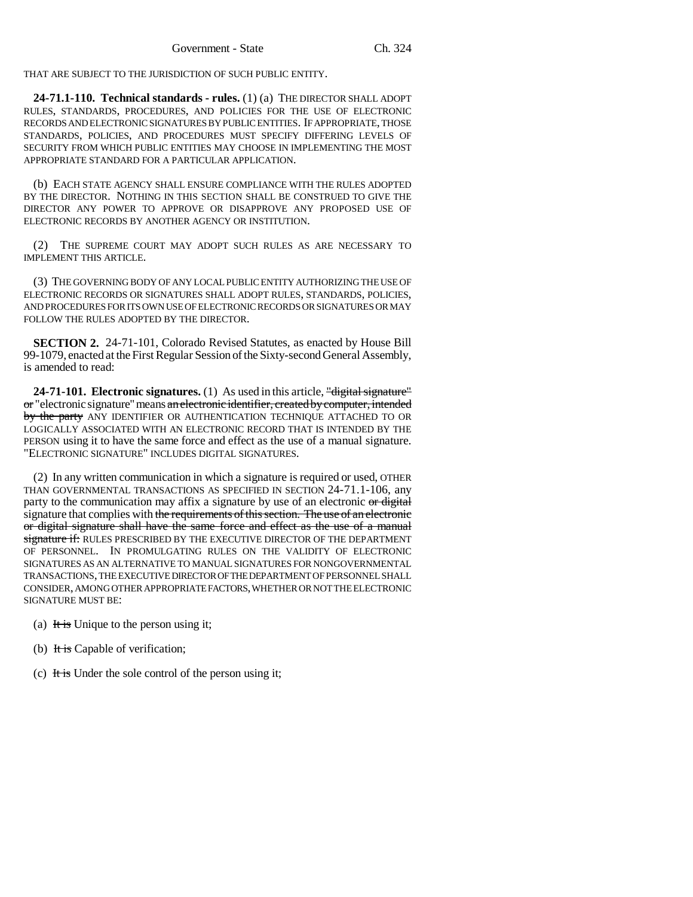THAT ARE SUBJECT TO THE JURISDICTION OF SUCH PUBLIC ENTITY.

**24-71.1-110. Technical standards - rules.** (1) (a) THE DIRECTOR SHALL ADOPT RULES, STANDARDS, PROCEDURES, AND POLICIES FOR THE USE OF ELECTRONIC RECORDS AND ELECTRONIC SIGNATURES BY PUBLIC ENTITIES. IF APPROPRIATE, THOSE STANDARDS, POLICIES, AND PROCEDURES MUST SPECIFY DIFFERING LEVELS OF SECURITY FROM WHICH PUBLIC ENTITIES MAY CHOOSE IN IMPLEMENTING THE MOST APPROPRIATE STANDARD FOR A PARTICULAR APPLICATION.

(b) EACH STATE AGENCY SHALL ENSURE COMPLIANCE WITH THE RULES ADOPTED BY THE DIRECTOR. NOTHING IN THIS SECTION SHALL BE CONSTRUED TO GIVE THE DIRECTOR ANY POWER TO APPROVE OR DISAPPROVE ANY PROPOSED USE OF ELECTRONIC RECORDS BY ANOTHER AGENCY OR INSTITUTION.

(2) THE SUPREME COURT MAY ADOPT SUCH RULES AS ARE NECESSARY TO IMPLEMENT THIS ARTICLE.

(3) THE GOVERNING BODY OF ANY LOCAL PUBLIC ENTITY AUTHORIZING THE USE OF ELECTRONIC RECORDS OR SIGNATURES SHALL ADOPT RULES, STANDARDS, POLICIES, AND PROCEDURES FOR ITS OWN USE OF ELECTRONIC RECORDS OR SIGNATURES OR MAY FOLLOW THE RULES ADOPTED BY THE DIRECTOR.

**SECTION 2.** 24-71-101, Colorado Revised Statutes, as enacted by House Bill 99-1079, enacted at the First Regular Session of the Sixty-second General Assembly, is amended to read:

**24-71-101. Electronic signatures.** (1) As used in this article, "digital signature" or "electronic signature" means an electronic identifier, created by computer, intended by the party ANY IDENTIFIER OR AUTHENTICATION TECHNIQUE ATTACHED TO OR LOGICALLY ASSOCIATED WITH AN ELECTRONIC RECORD THAT IS INTENDED BY THE PERSON using it to have the same force and effect as the use of a manual signature. "ELECTRONIC SIGNATURE" INCLUDES DIGITAL SIGNATURES.

(2) In any written communication in which a signature is required or used, OTHER THAN GOVERNMENTAL TRANSACTIONS AS SPECIFIED IN SECTION 24-71.1-106, any party to the communication may affix a signature by use of an electronic or digital signature that complies with the requirements of this section. The use of an electronic or digital signature shall have the same force and effect as the use of a manual signature if: RULES PRESCRIBED BY THE EXECUTIVE DIRECTOR OF THE DEPARTMENT OF PERSONNEL. IN PROMULGATING RULES ON THE VALIDITY OF ELECTRONIC SIGNATURES AS AN ALTERNATIVE TO MANUAL SIGNATURES FOR NONGOVERNMENTAL TRANSACTIONS, THE EXECUTIVE DIRECTOR OF THE DEPARTMENT OF PERSONNEL SHALL CONSIDER, AMONG OTHER APPROPRIATE FACTORS, WHETHER OR NOT THE ELECTRONIC SIGNATURE MUST BE:

- (a) It is Unique to the person using it;
- (b) It is Capable of verification;
- (c) It is Under the sole control of the person using it;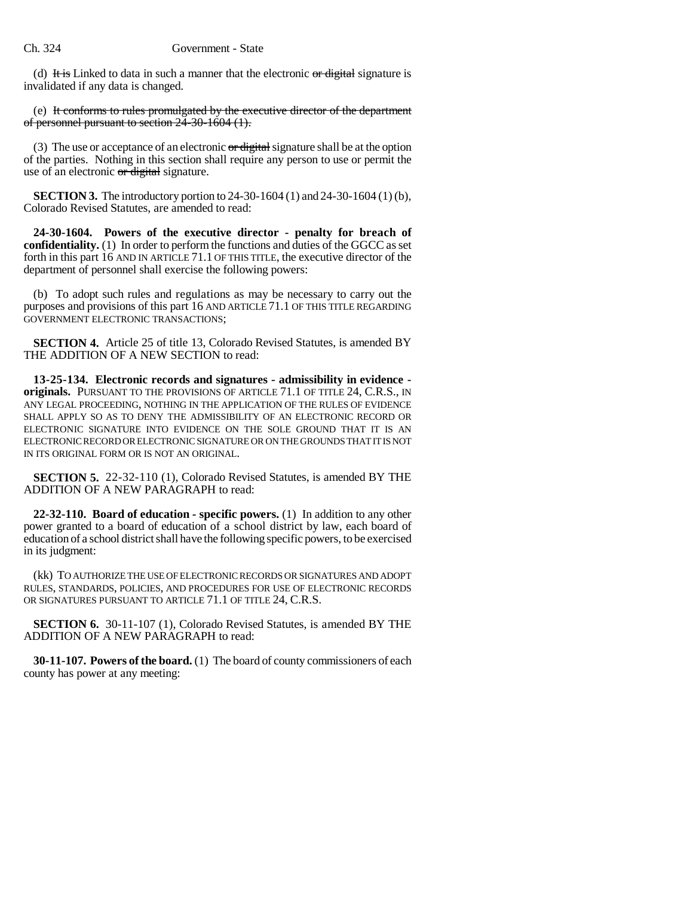(d) It is Linked to data in such a manner that the electronic  $\sigma r$  digital signature is invalidated if any data is changed.

(e) It conforms to rules promulgated by the executive director of the department of personnel pursuant to section 24-30-1604 (1).

(3) The use or acceptance of an electronic  $\sigma r$  digital signature shall be at the option of the parties. Nothing in this section shall require any person to use or permit the use of an electronic or digital signature.

**SECTION 3.** The introductory portion to 24-30-1604 (1) and 24-30-1604 (1) (b), Colorado Revised Statutes, are amended to read:

**24-30-1604. Powers of the executive director - penalty for breach of confidentiality.** (1) In order to perform the functions and duties of the GGCC as set forth in this part 16 AND IN ARTICLE 71.1 OF THIS TITLE, the executive director of the department of personnel shall exercise the following powers:

(b) To adopt such rules and regulations as may be necessary to carry out the purposes and provisions of this part 16 AND ARTICLE 71.1 OF THIS TITLE REGARDING GOVERNMENT ELECTRONIC TRANSACTIONS;

**SECTION 4.** Article 25 of title 13, Colorado Revised Statutes, is amended BY THE ADDITION OF A NEW SECTION to read:

**13-25-134. Electronic records and signatures - admissibility in evidence originals.** PURSUANT TO THE PROVISIONS OF ARTICLE 71.1 OF TITLE 24, C.R.S., IN ANY LEGAL PROCEEDING, NOTHING IN THE APPLICATION OF THE RULES OF EVIDENCE SHALL APPLY SO AS TO DENY THE ADMISSIBILITY OF AN ELECTRONIC RECORD OR ELECTRONIC SIGNATURE INTO EVIDENCE ON THE SOLE GROUND THAT IT IS AN ELECTRONIC RECORD OR ELECTRONIC SIGNATURE OR ON THE GROUNDS THAT IT IS NOT IN ITS ORIGINAL FORM OR IS NOT AN ORIGINAL.

**SECTION 5.** 22-32-110 (1), Colorado Revised Statutes, is amended BY THE ADDITION OF A NEW PARAGRAPH to read:

**22-32-110. Board of education - specific powers.** (1) In addition to any other power granted to a board of education of a school district by law, each board of education of a school district shall have the following specific powers, to be exercised in its judgment:

(kk) TO AUTHORIZE THE USE OF ELECTRONIC RECORDS OR SIGNATURES AND ADOPT RULES, STANDARDS, POLICIES, AND PROCEDURES FOR USE OF ELECTRONIC RECORDS OR SIGNATURES PURSUANT TO ARTICLE 71.1 OF TITLE 24, C.R.S.

**SECTION 6.** 30-11-107 (1), Colorado Revised Statutes, is amended BY THE ADDITION OF A NEW PARAGRAPH to read:

**30-11-107. Powers of the board.** (1) The board of county commissioners of each county has power at any meeting: